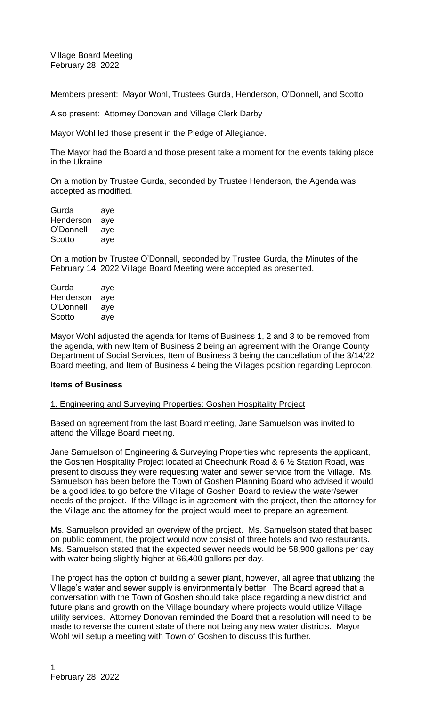Village Board Meeting February 28, 2022

Members present: Mayor Wohl, Trustees Gurda, Henderson, O'Donnell, and Scotto

Also present: Attorney Donovan and Village Clerk Darby

Mayor Wohl led those present in the Pledge of Allegiance.

The Mayor had the Board and those present take a moment for the events taking place in the Ukraine.

On a motion by Trustee Gurda, seconded by Trustee Henderson, the Agenda was accepted as modified.

Gurda aye Henderson aye O'Donnell aye Scotto aye

On a motion by Trustee O'Donnell, seconded by Trustee Gurda, the Minutes of the February 14, 2022 Village Board Meeting were accepted as presented.

Gurda aye Henderson aye O'Donnell aye Scotto aye

Mayor Wohl adjusted the agenda for Items of Business 1, 2 and 3 to be removed from the agenda, with new Item of Business 2 being an agreement with the Orange County Department of Social Services, Item of Business 3 being the cancellation of the 3/14/22 Board meeting, and Item of Business 4 being the Villages position regarding Leprocon.

#### **Items of Business**

### 1. Engineering and Surveying Properties: Goshen Hospitality Project

Based on agreement from the last Board meeting, Jane Samuelson was invited to attend the Village Board meeting.

Jane Samuelson of Engineering & Surveying Properties who represents the applicant, the Goshen Hospitality Project located at Cheechunk Road & 6 ½ Station Road, was present to discuss they were requesting water and sewer service from the Village. Ms. Samuelson has been before the Town of Goshen Planning Board who advised it would be a good idea to go before the Village of Goshen Board to review the water/sewer needs of the project. If the Village is in agreement with the project, then the attorney for the Village and the attorney for the project would meet to prepare an agreement.

Ms. Samuelson provided an overview of the project. Ms. Samuelson stated that based on public comment, the project would now consist of three hotels and two restaurants. Ms. Samuelson stated that the expected sewer needs would be 58,900 gallons per day with water being slightly higher at 66,400 gallons per day.

The project has the option of building a sewer plant, however, all agree that utilizing the Village's water and sewer supply is environmentally better. The Board agreed that a conversation with the Town of Goshen should take place regarding a new district and future plans and growth on the Village boundary where projects would utilize Village utility services. Attorney Donovan reminded the Board that a resolution will need to be made to reverse the current state of there not being any new water districts. Mayor Wohl will setup a meeting with Town of Goshen to discuss this further.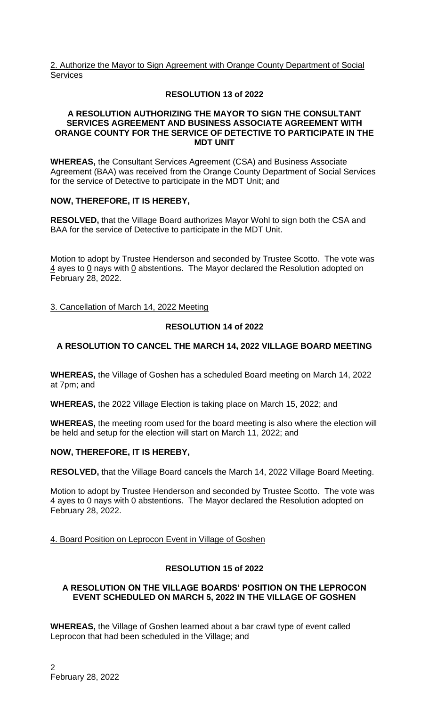2. Authorize the Mayor to Sign Agreement with Orange County Department of Social **Services** 

# **RESOLUTION 13 of 2022**

### **A RESOLUTION AUTHORIZING THE MAYOR TO SIGN THE CONSULTANT SERVICES AGREEMENT AND BUSINESS ASSOCIATE AGREEMENT WITH ORANGE COUNTY FOR THE SERVICE OF DETECTIVE TO PARTICIPATE IN THE MDT UNIT**

**WHEREAS,** the Consultant Services Agreement (CSA) and Business Associate Agreement (BAA) was received from the Orange County Department of Social Services for the service of Detective to participate in the MDT Unit; and

# **NOW, THEREFORE, IT IS HEREBY,**

**RESOLVED,** that the Village Board authorizes Mayor Wohl to sign both the CSA and BAA for the service of Detective to participate in the MDT Unit.

Motion to adopt by Trustee Henderson and seconded by Trustee Scotto. The vote was  $\frac{4}{3}$  ayes to 0 nays with 0 abstentions. The Mayor declared the Resolution adopted on February 28, 2022.

3. Cancellation of March 14, 2022 Meeting

# **RESOLUTION 14 of 2022**

# **A RESOLUTION TO CANCEL THE MARCH 14, 2022 VILLAGE BOARD MEETING**

**WHEREAS,** the Village of Goshen has a scheduled Board meeting on March 14, 2022 at 7pm; and

**WHEREAS,** the 2022 Village Election is taking place on March 15, 2022; and

**WHEREAS,** the meeting room used for the board meeting is also where the election will be held and setup for the election will start on March 11, 2022; and

## **NOW, THEREFORE, IT IS HEREBY,**

**RESOLVED,** that the Village Board cancels the March 14, 2022 Village Board Meeting.

Motion to adopt by Trustee Henderson and seconded by Trustee Scotto. The vote was 4 ayes to 0 nays with 0 abstentions. The Mayor declared the Resolution adopted on February 28, 2022.

4. Board Position on Leprocon Event in Village of Goshen

## **RESOLUTION 15 of 2022**

#### **A RESOLUTION ON THE VILLAGE BOARDS' POSITION ON THE LEPROCON EVENT SCHEDULED ON MARCH 5, 2022 IN THE VILLAGE OF GOSHEN**

**WHEREAS,** the Village of Goshen learned about a bar crawl type of event called Leprocon that had been scheduled in the Village; and